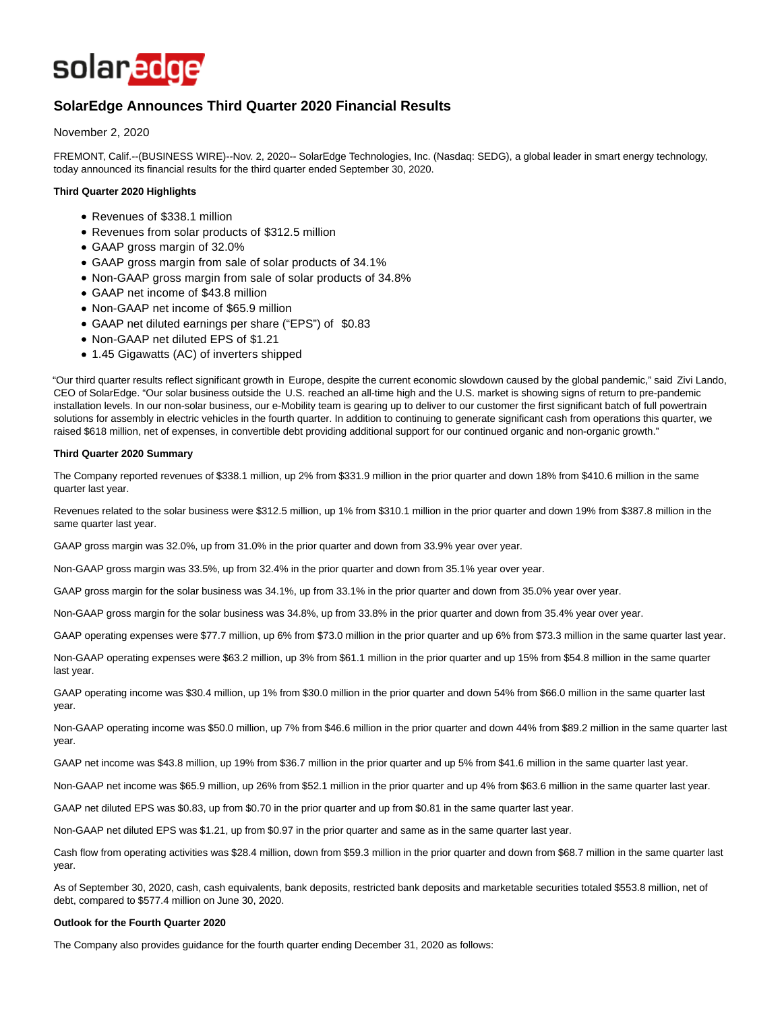

# **SolarEdge Announces Third Quarter 2020 Financial Results**

November 2, 2020

FREMONT, Calif.--(BUSINESS WIRE)--Nov. 2, 2020-- SolarEdge Technologies, Inc. (Nasdaq: SEDG), a global leader in smart energy technology, today announced its financial results for the third quarter ended September 30, 2020.

## **Third Quarter 2020 Highlights**

- Revenues of \$338.1 million
- Revenues from solar products of \$312.5 million
- GAAP gross margin of 32.0%
- GAAP gross margin from sale of solar products of 34.1%
- Non-GAAP gross margin from sale of solar products of 34.8%
- GAAP net income of \$43.8 million
- Non-GAAP net income of \$65.9 million
- GAAP net diluted earnings per share ("EPS") of \$0.83
- Non-GAAP net diluted EPS of \$1.21
- 1.45 Gigawatts (AC) of inverters shipped

"Our third quarter results reflect significant growth in Europe, despite the current economic slowdown caused by the global pandemic," said Zivi Lando, CEO of SolarEdge. "Our solar business outside the U.S. reached an all-time high and the U.S. market is showing signs of return to pre-pandemic installation levels. In our non-solar business, our e-Mobility team is gearing up to deliver to our customer the first significant batch of full powertrain solutions for assembly in electric vehicles in the fourth quarter. In addition to continuing to generate significant cash from operations this quarter, we raised \$618 million, net of expenses, in convertible debt providing additional support for our continued organic and non-organic growth."

## **Third Quarter 2020 Summary**

The Company reported revenues of \$338.1 million, up 2% from \$331.9 million in the prior quarter and down 18% from \$410.6 million in the same quarter last year.

Revenues related to the solar business were \$312.5 million, up 1% from \$310.1 million in the prior quarter and down 19% from \$387.8 million in the same quarter last year.

GAAP gross margin was 32.0%, up from 31.0% in the prior quarter and down from 33.9% year over year.

Non-GAAP gross margin was 33.5%, up from 32.4% in the prior quarter and down from 35.1% year over year.

GAAP gross margin for the solar business was 34.1%, up from 33.1% in the prior quarter and down from 35.0% year over year.

Non-GAAP gross margin for the solar business was 34.8%, up from 33.8% in the prior quarter and down from 35.4% year over year.

GAAP operating expenses were \$77.7 million, up 6% from \$73.0 million in the prior quarter and up 6% from \$73.3 million in the same quarter last year.

Non-GAAP operating expenses were \$63.2 million, up 3% from \$61.1 million in the prior quarter and up 15% from \$54.8 million in the same quarter last year.

GAAP operating income was \$30.4 million, up 1% from \$30.0 million in the prior quarter and down 54% from \$66.0 million in the same quarter last year.

Non-GAAP operating income was \$50.0 million, up 7% from \$46.6 million in the prior quarter and down 44% from \$89.2 million in the same quarter last year.

GAAP net income was \$43.8 million, up 19% from \$36.7 million in the prior quarter and up 5% from \$41.6 million in the same quarter last year.

Non-GAAP net income was \$65.9 million, up 26% from \$52.1 million in the prior quarter and up 4% from \$63.6 million in the same quarter last year.

GAAP net diluted EPS was \$0.83, up from \$0.70 in the prior quarter and up from \$0.81 in the same quarter last year.

Non-GAAP net diluted EPS was \$1.21, up from \$0.97 in the prior quarter and same as in the same quarter last year.

Cash flow from operating activities was \$28.4 million, down from \$59.3 million in the prior quarter and down from \$68.7 million in the same quarter last year.

As of September 30, 2020, cash, cash equivalents, bank deposits, restricted bank deposits and marketable securities totaled \$553.8 million, net of debt, compared to \$577.4 million on June 30, 2020.

#### **Outlook for the Fourth Quarter 2020**

The Company also provides guidance for the fourth quarter ending December 31, 2020 as follows: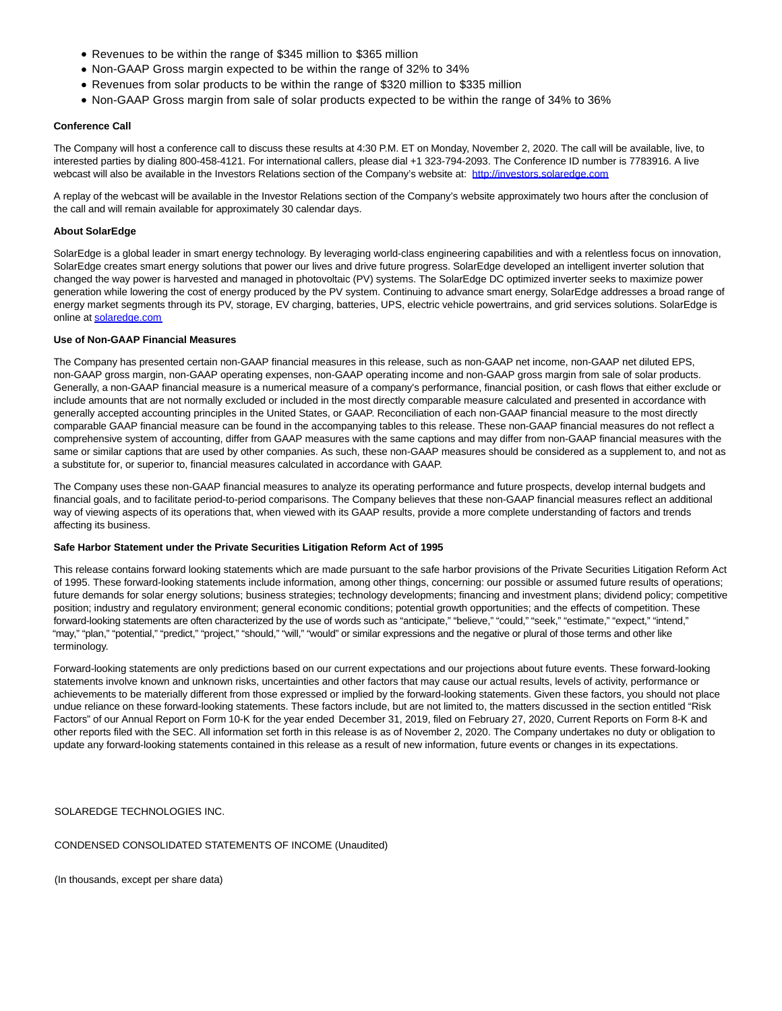- Revenues to be within the range of \$345 million to \$365 million
- Non-GAAP Gross margin expected to be within the range of 32% to 34%
- Revenues from solar products to be within the range of \$320 million to \$335 million
- Non-GAAP Gross margin from sale of solar products expected to be within the range of 34% to 36%

## **Conference Call**

The Company will host a conference call to discuss these results at 4:30 P.M. ET on Monday, November 2, 2020. The call will be available, live, to interested parties by dialing 800-458-4121. For international callers, please dial +1 323-794-2093. The Conference ID number is 7783916. A live webcast will also be available in the Investors Relations section of the Company's website at: [http://investors.solaredge.com](https://cts.businesswire.com/ct/CT?id=smartlink&url=http%3A%2F%2Finvestors.solaredge.com&esheet=52318779&newsitemid=20201102005764&lan=en-US&anchor=http%3A%2F%2Finvestors.solaredge.com&index=1&md5=90211a9b2079386044e61c0a022e4bf0)

A replay of the webcast will be available in the Investor Relations section of the Company's website approximately two hours after the conclusion of the call and will remain available for approximately 30 calendar days.

## **About SolarEdge**

SolarEdge is a global leader in smart energy technology. By leveraging world-class engineering capabilities and with a relentless focus on innovation, SolarEdge creates smart energy solutions that power our lives and drive future progress. SolarEdge developed an intelligent inverter solution that changed the way power is harvested and managed in photovoltaic (PV) systems. The SolarEdge DC optimized inverter seeks to maximize power generation while lowering the cost of energy produced by the PV system. Continuing to advance smart energy, SolarEdge addresses a broad range of energy market segments through its PV, storage, EV charging, batteries, UPS, electric vehicle powertrains, and grid services solutions. SolarEdge is online a[t solaredge.com](http://solaredge.com/)

#### **Use of Non-GAAP Financial Measures**

The Company has presented certain non-GAAP financial measures in this release, such as non-GAAP net income, non-GAAP net diluted EPS, non-GAAP gross margin, non-GAAP operating expenses, non-GAAP operating income and non-GAAP gross margin from sale of solar products. Generally, a non-GAAP financial measure is a numerical measure of a company's performance, financial position, or cash flows that either exclude or include amounts that are not normally excluded or included in the most directly comparable measure calculated and presented in accordance with generally accepted accounting principles in the United States, or GAAP. Reconciliation of each non-GAAP financial measure to the most directly comparable GAAP financial measure can be found in the accompanying tables to this release. These non-GAAP financial measures do not reflect a comprehensive system of accounting, differ from GAAP measures with the same captions and may differ from non-GAAP financial measures with the same or similar captions that are used by other companies. As such, these non-GAAP measures should be considered as a supplement to, and not as a substitute for, or superior to, financial measures calculated in accordance with GAAP.

The Company uses these non-GAAP financial measures to analyze its operating performance and future prospects, develop internal budgets and financial goals, and to facilitate period-to-period comparisons. The Company believes that these non-GAAP financial measures reflect an additional way of viewing aspects of its operations that, when viewed with its GAAP results, provide a more complete understanding of factors and trends affecting its business.

#### **Safe Harbor Statement under the Private Securities Litigation Reform Act of 1995**

This release contains forward looking statements which are made pursuant to the safe harbor provisions of the Private Securities Litigation Reform Act of 1995. These forward-looking statements include information, among other things, concerning: our possible or assumed future results of operations; future demands for solar energy solutions; business strategies; technology developments; financing and investment plans; dividend policy; competitive position; industry and regulatory environment; general economic conditions; potential growth opportunities; and the effects of competition. These forward-looking statements are often characterized by the use of words such as "anticipate," "believe," "could," "seek," "estimate," "expect," "intend," "may," "plan," "potential," "predict," "project," "should," "will," "would" or similar expressions and the negative or plural of those terms and other like terminology.

Forward-looking statements are only predictions based on our current expectations and our projections about future events. These forward-looking statements involve known and unknown risks, uncertainties and other factors that may cause our actual results, levels of activity, performance or achievements to be materially different from those expressed or implied by the forward-looking statements. Given these factors, you should not place undue reliance on these forward-looking statements. These factors include, but are not limited to, the matters discussed in the section entitled "Risk Factors" of our Annual Report on Form 10-K for the year ended December 31, 2019, filed on February 27, 2020, Current Reports on Form 8-K and other reports filed with the SEC. All information set forth in this release is as of November 2, 2020. The Company undertakes no duty or obligation to update any forward-looking statements contained in this release as a result of new information, future events or changes in its expectations.

SOLAREDGE TECHNOLOGIES INC.

CONDENSED CONSOLIDATED STATEMENTS OF INCOME (Unaudited)

(In thousands, except per share data)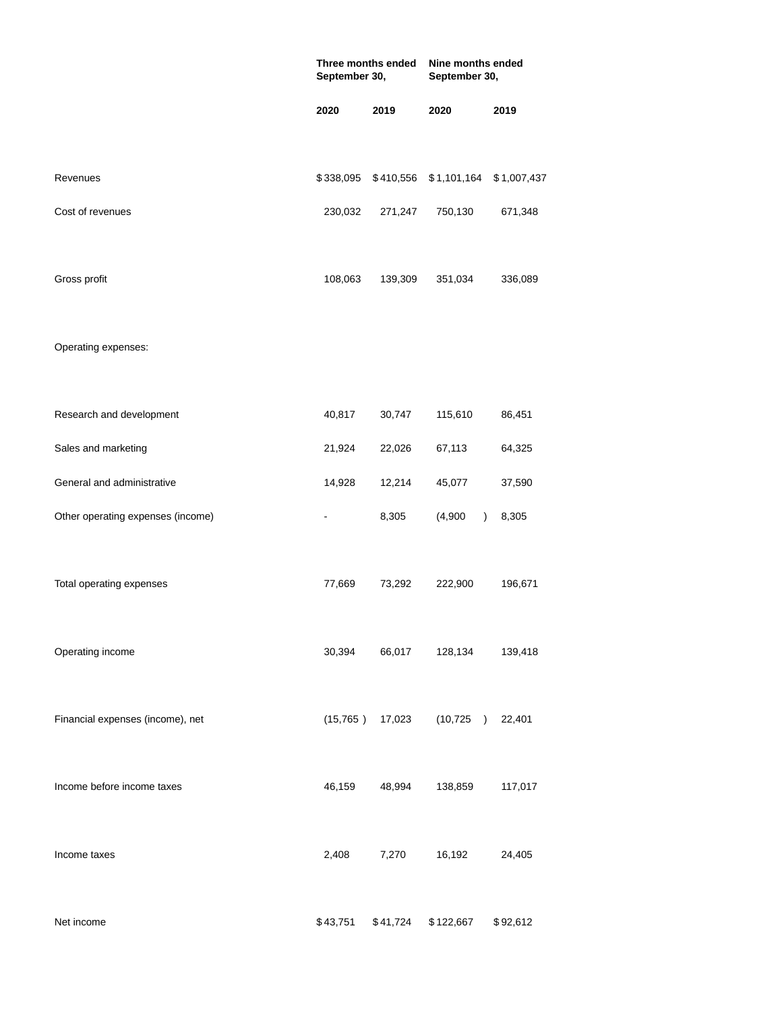|                                   | Three months ended<br>September 30, |          | Nine months ended<br>September 30, |             |  |
|-----------------------------------|-------------------------------------|----------|------------------------------------|-------------|--|
|                                   | 2020                                | 2019     | 2020                               | 2019        |  |
| Revenues                          | \$338,095                           |          | \$410,556 \$1,101,164              | \$1,007,437 |  |
| Cost of revenues                  | 230,032                             | 271,247  | 750,130                            | 671,348     |  |
| Gross profit                      | 108,063                             | 139,309  | 351,034                            | 336,089     |  |
| Operating expenses:               |                                     |          |                                    |             |  |
| Research and development          | 40,817                              | 30,747   | 115,610                            | 86,451      |  |
| Sales and marketing               | 21,924                              | 22,026   | 67,113                             | 64,325      |  |
| General and administrative        | 14,928                              | 12,214   | 45,077                             | 37,590      |  |
| Other operating expenses (income) |                                     | 8,305    | (4,900)<br>$\lambda$               | 8,305       |  |
| Total operating expenses          | 77,669                              | 73,292   | 222,900                            | 196,671     |  |
| Operating income                  | 30,394                              | 66,017   | 128,134                            | 139,418     |  |
| Financial expenses (income), net  | (15, 765)                           | 17,023   | (10, 725)<br>$\lambda$             | 22,401      |  |
| Income before income taxes        | 46,159                              | 48,994   | 138,859                            | 117,017     |  |
| Income taxes                      | 2,408                               | 7,270    | 16,192                             | 24,405      |  |
| Net income                        | \$43,751                            | \$41,724 | \$122,667                          | \$92,612    |  |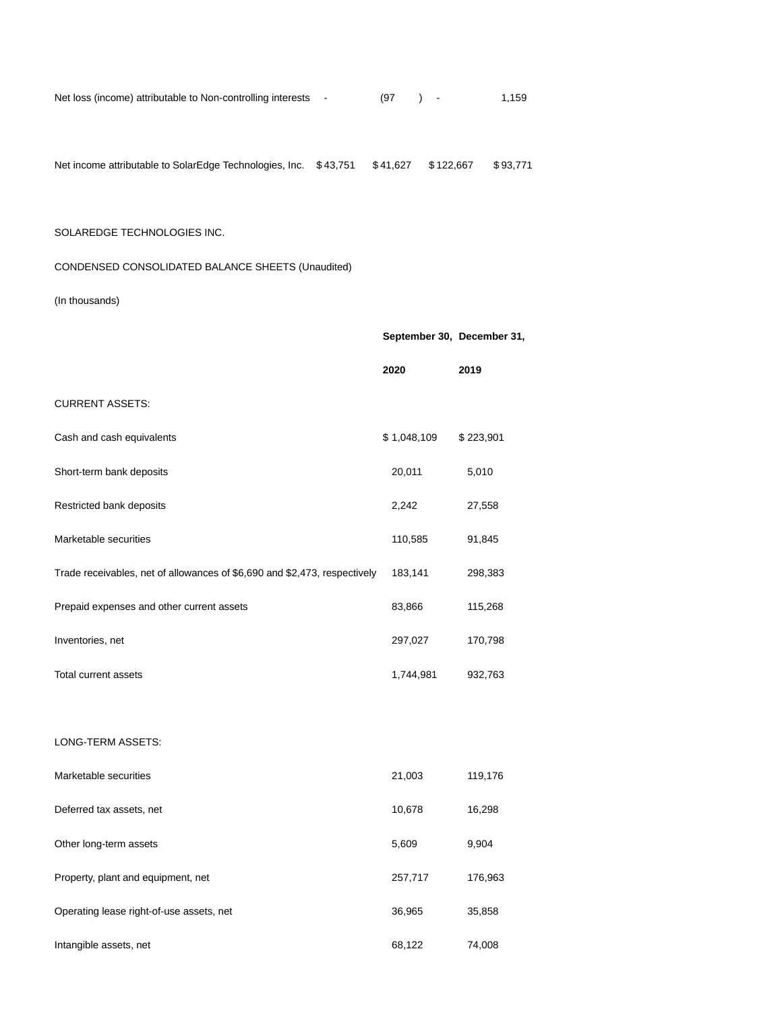| Net loss (income) attributable to Non-controlling interests - |  | (97 |  | 1,159 |
|---------------------------------------------------------------|--|-----|--|-------|
|---------------------------------------------------------------|--|-----|--|-------|

| Net income attributable to SolarEdge Technologies, Inc. \$43,751 \$41,627 \$122,667 \$93,771 |  |  |  |
|----------------------------------------------------------------------------------------------|--|--|--|
|                                                                                              |  |  |  |

## SOLAREDGE TECHNOLOGIES INC.

# CONDENSED CONSOLIDATED BALANCE SHEETS (Unaudited)

# (In thousands)

|                                                                           | September 30, December 31, |           |
|---------------------------------------------------------------------------|----------------------------|-----------|
|                                                                           | 2020                       | 2019      |
| <b>CURRENT ASSETS:</b>                                                    |                            |           |
| Cash and cash equivalents                                                 | \$1,048,109                | \$223,901 |
| Short-term bank deposits                                                  | 20,011                     | 5,010     |
| Restricted bank deposits                                                  | 2,242                      | 27,558    |
| Marketable securities                                                     | 110,585                    | 91,845    |
| Trade receivables, net of allowances of \$6,690 and \$2,473, respectively | 183,141                    | 298,383   |
| Prepaid expenses and other current assets                                 | 83,866                     | 115,268   |
| Inventories, net                                                          | 297,027                    | 170,798   |
| Total current assets                                                      | 1,744,981                  | 932,763   |
|                                                                           |                            |           |
| LONG-TERM ASSETS:                                                         |                            |           |
| Marketable securities                                                     | 21,003                     | 119,176   |
| Deferred tax assets, net                                                  | 10,678                     | 16,298    |
| Other long-term assets                                                    | 5,609                      | 9,904     |
| Property, plant and equipment, net                                        | 257,717                    | 176,963   |
| Operating lease right-of-use assets, net                                  | 36,965                     | 35,858    |
| Intangible assets, net                                                    | 68,122                     | 74,008    |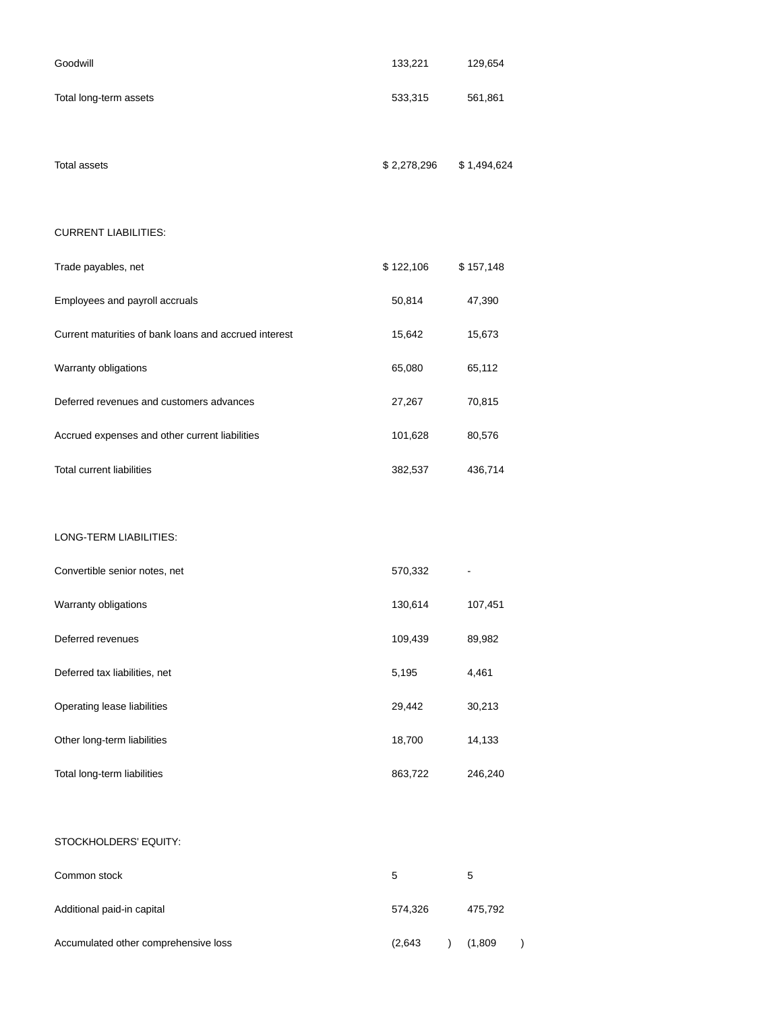| Goodwill                                              | 133,221     | 129,654     |
|-------------------------------------------------------|-------------|-------------|
| Total long-term assets                                | 533,315     | 561,861     |
| <b>Total assets</b>                                   | \$2,278,296 | \$1,494,624 |
| <b>CURRENT LIABILITIES:</b>                           |             |             |
| Trade payables, net                                   | \$122,106   | \$157,148   |
| Employees and payroll accruals                        | 50,814      | 47,390      |
| Current maturities of bank loans and accrued interest | 15,642      | 15,673      |
| Warranty obligations                                  | 65,080      | 65,112      |
| Deferred revenues and customers advances              | 27,267      | 70,815      |
| Accrued expenses and other current liabilities        | 101,628     | 80,576      |
| <b>Total current liabilities</b>                      | 382,537     | 436,714     |
|                                                       |             |             |
| LONG-TERM LIABILITIES:                                |             |             |
| Convertible senior notes, net                         | 570,332     |             |
| Warranty obligations                                  | 130,614     | 107,451     |
| Deferred revenues                                     | 109,439     | 89,982      |
| Deferred tax liabilities, net                         | 5,195       | 4,461       |
| Operating lease liabilities                           | 29,442      | 30,213      |
| Other long-term liabilities                           | 18,700      | 14,133      |
| Total long-term liabilities                           | 863,722     | 246,240     |
|                                                       |             |             |

# STOCKHOLDERS' EQUITY:

| Common stock                         | 5       | 5       |  |
|--------------------------------------|---------|---------|--|
| Additional paid-in capital           | 574.326 | 475.792 |  |
| Accumulated other comprehensive loss | (2.643) | (1,809) |  |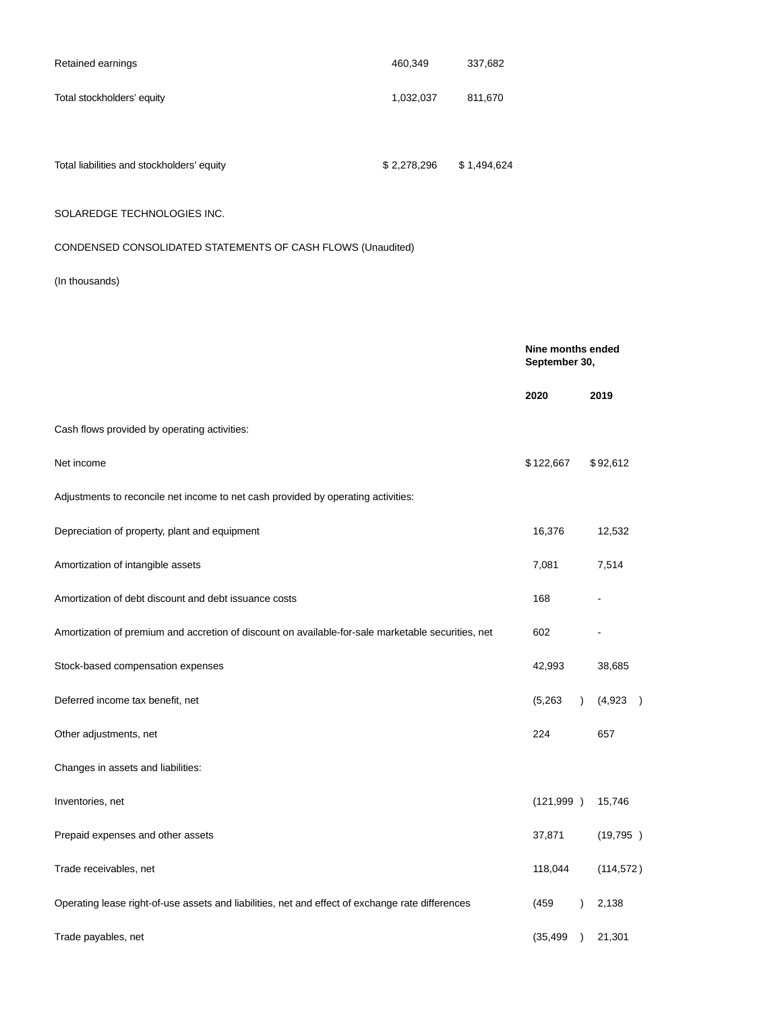| Retained earnings          | 460,349   | 337,682 |
|----------------------------|-----------|---------|
| Total stockholders' equity | 1,032,037 | 811,670 |
|                            |           |         |

Total liabilities and stockholders' equity  $$2,278,296$  \$1,494,624

# SOLAREDGE TECHNOLOGIES INC.

# CONDENSED CONSOLIDATED STATEMENTS OF CASH FLOWS (Unaudited)

# (In thousands)

|                                                                                                    | Nine months ended<br>September 30, |                                                  |
|----------------------------------------------------------------------------------------------------|------------------------------------|--------------------------------------------------|
|                                                                                                    | 2020                               | 2019                                             |
| Cash flows provided by operating activities:                                                       |                                    |                                                  |
| Net income                                                                                         | \$122,667                          | \$92,612                                         |
| Adjustments to reconcile net income to net cash provided by operating activities:                  |                                    |                                                  |
| Depreciation of property, plant and equipment                                                      | 16,376                             | 12,532                                           |
| Amortization of intangible assets                                                                  | 7,081                              | 7,514                                            |
| Amortization of debt discount and debt issuance costs                                              | 168                                |                                                  |
| Amortization of premium and accretion of discount on available-for-sale marketable securities, net | 602                                |                                                  |
| Stock-based compensation expenses                                                                  | 42,993                             | 38,685                                           |
| Deferred income tax benefit, net                                                                   | (5,263)                            | (4,923)<br>$\lambda$<br>$\overline{\phantom{a}}$ |
| Other adjustments, net                                                                             | 224                                | 657                                              |
| Changes in assets and liabilities:                                                                 |                                    |                                                  |
| Inventories, net                                                                                   | (121, 999)                         | 15,746                                           |
| Prepaid expenses and other assets                                                                  | 37,871                             | (19, 795)                                        |
| Trade receivables, net                                                                             | 118,044                            | (114, 572)                                       |
| Operating lease right-of-use assets and liabilities, net and effect of exchange rate differences   | (459)                              | 2,138<br>$\lambda$                               |
| Trade payables, net                                                                                | (35, 499)                          | 21,301<br>$\lambda$                              |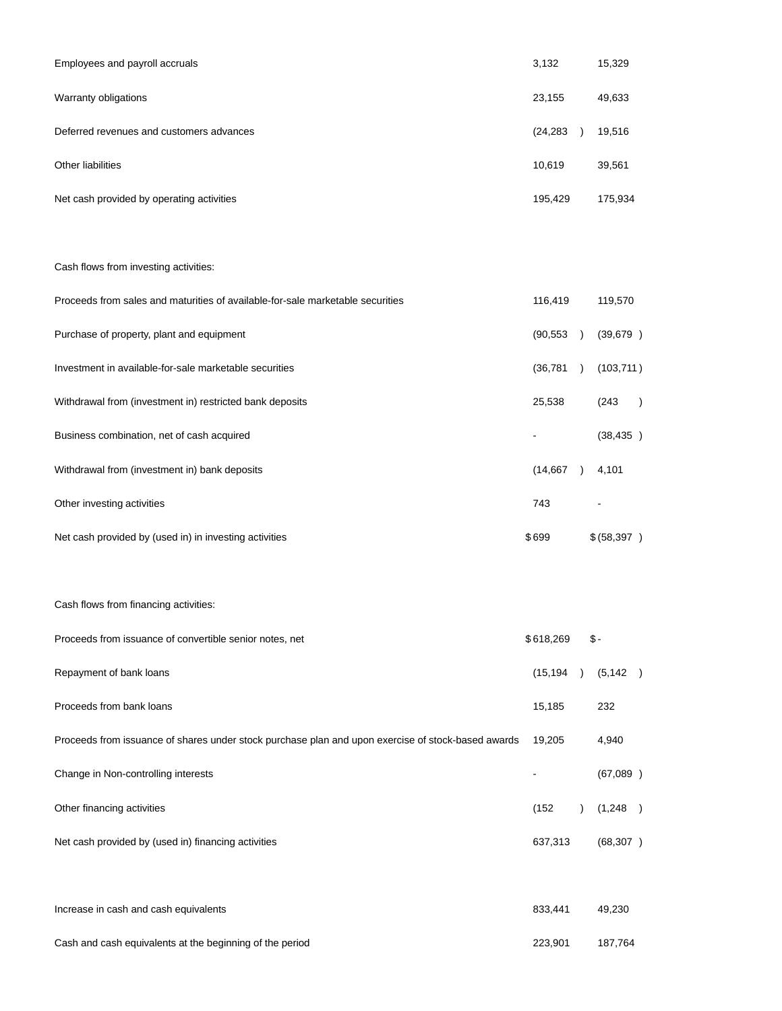| Employees and payroll accruals                                                                     | 3,132     |               | 15,329       |           |
|----------------------------------------------------------------------------------------------------|-----------|---------------|--------------|-----------|
| Warranty obligations                                                                               | 23,155    |               | 49,633       |           |
| Deferred revenues and customers advances                                                           | (24, 283) | $\rightarrow$ | 19,516       |           |
| Other liabilities                                                                                  | 10,619    |               | 39,561       |           |
| Net cash provided by operating activities                                                          | 195,429   |               | 175,934      |           |
|                                                                                                    |           |               |              |           |
| Cash flows from investing activities:                                                              |           |               |              |           |
| Proceeds from sales and maturities of available-for-sale marketable securities                     | 116,419   |               | 119,570      |           |
| Purchase of property, plant and equipment                                                          | (90, 553) | $\rightarrow$ | (39, 679)    |           |
| Investment in available-for-sale marketable securities                                             | (36, 781) | $\rightarrow$ | (103, 711)   |           |
| Withdrawal from (investment in) restricted bank deposits                                           | 25,538    |               | (243)        | $\lambda$ |
| Business combination, net of cash acquired                                                         |           |               | (38, 435)    |           |
| Withdrawal from (investment in) bank deposits                                                      | (14, 667) | $\rightarrow$ | 4,101        |           |
| Other investing activities                                                                         | 743       |               |              |           |
| Net cash provided by (used in) in investing activities                                             | \$699     |               | \$ (58, 397) |           |
|                                                                                                    |           |               |              |           |
| Cash flows from financing activities:                                                              |           |               |              |           |
| Proceeds from issuance of convertible senior notes, net                                            | \$618,269 |               | $$-$         |           |
| Repayment of bank loans                                                                            | (15, 194) | $\rightarrow$ | (5, 142)     |           |
| Proceeds from bank loans                                                                           | 15,185    |               | 232          |           |
| Proceeds from issuance of shares under stock purchase plan and upon exercise of stock-based awards | 19,205    |               | 4,940        |           |
| Change in Non-controlling interests                                                                |           |               | (67,089)     |           |
| Other financing activities                                                                         | (152)     | $\lambda$     | (1,248)      |           |
| Net cash provided by (used in) financing activities                                                | 637,313   |               | (68, 307)    |           |
|                                                                                                    |           |               |              |           |
| Increase in cash and cash equivalents                                                              | 833,441   |               | 49,230       |           |
| Cash and cash equivalents at the beginning of the period                                           | 223,901   |               | 187,764      |           |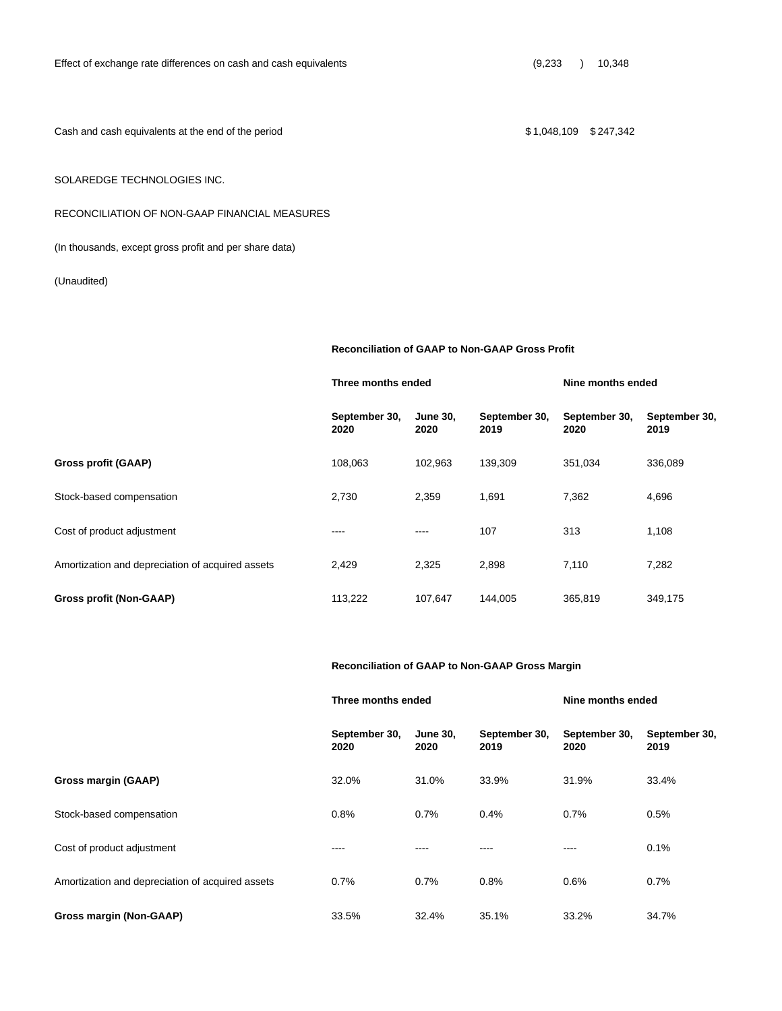Cash and cash equivalents at the end of the period  $$ 1,048,109$  \$247,342

# SOLAREDGE TECHNOLOGIES INC.

## RECONCILIATION OF NON-GAAP FINANCIAL MEASURES

(In thousands, except gross profit and per share data)

(Unaudited)

**Reconciliation of GAAP to Non-GAAP Gross Profit**

**Three months ended Nine months ended**

|                                                  | September 30,<br>2020 | <b>June 30.</b><br>2020 | September 30,<br>2019 | September 30.<br>2020 | September 30,<br>2019 |
|--------------------------------------------------|-----------------------|-------------------------|-----------------------|-----------------------|-----------------------|
| Gross profit (GAAP)                              | 108.063               | 102.963                 | 139,309               | 351,034               | 336,089               |
| Stock-based compensation                         | 2,730                 | 2,359                   | 1,691                 | 7,362                 | 4,696                 |
| Cost of product adjustment                       | ----                  | ----                    | 107                   | 313                   | 1,108                 |
| Amortization and depreciation of acquired assets | 2,429                 | 2,325                   | 2,898                 | 7,110                 | 7,282                 |
| Gross profit (Non-GAAP)                          | 113.222               | 107.647                 | 144.005               | 365,819               | 349,175               |

## **Reconciliation of GAAP to Non-GAAP Gross Margin**

|                                                  | Three months ended    |                         |                       | Nine months ended     |                       |  |
|--------------------------------------------------|-----------------------|-------------------------|-----------------------|-----------------------|-----------------------|--|
|                                                  | September 30,<br>2020 | <b>June 30,</b><br>2020 | September 30,<br>2019 | September 30,<br>2020 | September 30,<br>2019 |  |
| Gross margin (GAAP)                              | 32.0%                 | 31.0%                   | 33.9%                 | 31.9%                 | 33.4%                 |  |
| Stock-based compensation                         | 0.8%                  | 0.7%                    | 0.4%                  | 0.7%                  | 0.5%                  |  |
| Cost of product adjustment                       | ----                  | ----                    | ----                  | ----                  | 0.1%                  |  |
| Amortization and depreciation of acquired assets | 0.7%                  | 0.7%                    | 0.8%                  | 0.6%                  | 0.7%                  |  |
| Gross margin (Non-GAAP)                          | 33.5%                 | 32.4%                   | 35.1%                 | 33.2%                 | 34.7%                 |  |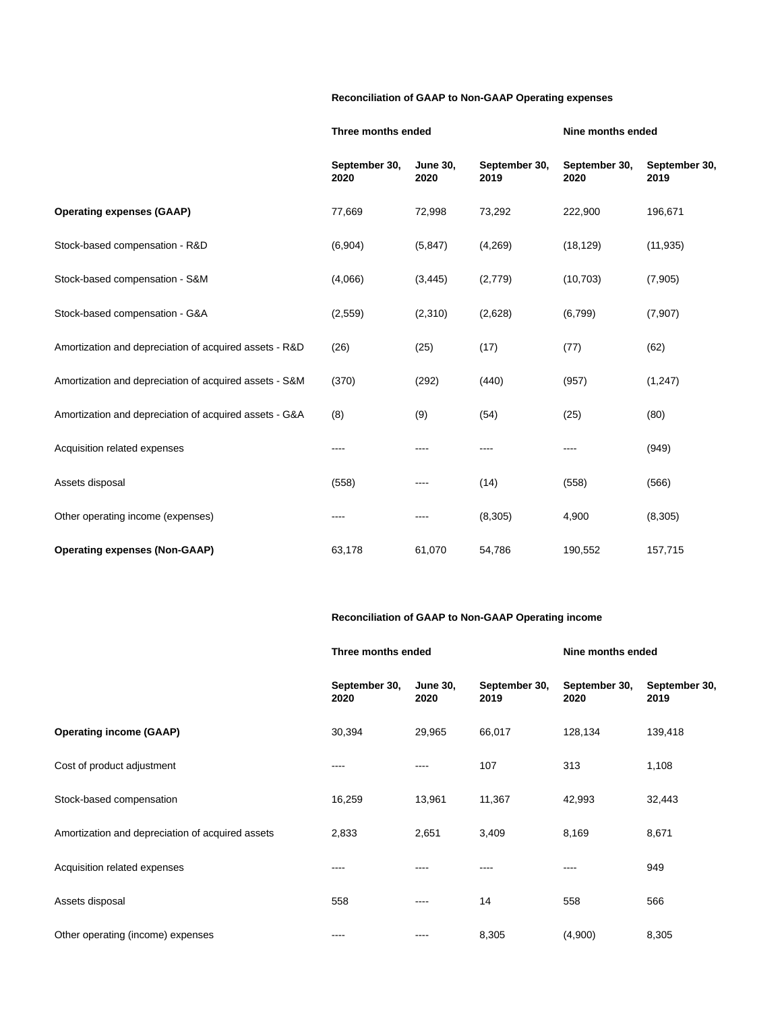# **Reconciliation of GAAP to Non-GAAP Operating expenses**

|                                                        | Three months ended    |                         |                       | Nine months ended     |                       |  |
|--------------------------------------------------------|-----------------------|-------------------------|-----------------------|-----------------------|-----------------------|--|
|                                                        | September 30,<br>2020 | <b>June 30,</b><br>2020 | September 30,<br>2019 | September 30,<br>2020 | September 30,<br>2019 |  |
| <b>Operating expenses (GAAP)</b>                       | 77,669                | 72,998                  | 73,292                | 222,900               | 196,671               |  |
| Stock-based compensation - R&D                         | (6,904)               | (5, 847)                | (4,269)               | (18, 129)             | (11, 935)             |  |
| Stock-based compensation - S&M                         | (4,066)               | (3, 445)                | (2,779)               | (10, 703)             | (7,905)               |  |
| Stock-based compensation - G&A                         | (2,559)               | (2,310)                 | (2,628)               | (6,799)               | (7, 907)              |  |
| Amortization and depreciation of acquired assets - R&D | (26)                  | (25)                    | (17)                  | (77)                  | (62)                  |  |
| Amortization and depreciation of acquired assets - S&M | (370)                 | (292)                   | (440)                 | (957)                 | (1, 247)              |  |
| Amortization and depreciation of acquired assets - G&A | (8)                   | (9)                     | (54)                  | (25)                  | (80)                  |  |
| Acquisition related expenses                           | ----                  |                         |                       | ----                  | (949)                 |  |
| Assets disposal                                        | (558)                 | ----                    | (14)                  | (558)                 | (566)                 |  |
| Other operating income (expenses)                      |                       | ----                    | (8, 305)              | 4,900                 | (8, 305)              |  |
| <b>Operating expenses (Non-GAAP)</b>                   | 63,178                | 61,070                  | 54,786                | 190,552               | 157,715               |  |

# **Reconciliation of GAAP to Non-GAAP Operating income**

|                                                  | Three months ended    |                         |                       | Nine months ended     |                       |
|--------------------------------------------------|-----------------------|-------------------------|-----------------------|-----------------------|-----------------------|
|                                                  | September 30,<br>2020 | <b>June 30,</b><br>2020 | September 30,<br>2019 | September 30,<br>2020 | September 30,<br>2019 |
| <b>Operating income (GAAP)</b>                   | 30,394                | 29,965                  | 66,017                | 128,134               | 139,418               |
| Cost of product adjustment                       | ----                  | ----                    | 107                   | 313                   | 1,108                 |
| Stock-based compensation                         | 16,259                | 13,961                  | 11,367                | 42,993                | 32,443                |
| Amortization and depreciation of acquired assets | 2,833                 | 2,651                   | 3,409                 | 8,169                 | 8,671                 |
| Acquisition related expenses                     | ----                  |                         | ----                  | ----                  | 949                   |
| Assets disposal                                  | 558                   | $---$                   | 14                    | 558                   | 566                   |
| Other operating (income) expenses                | $\cdots$              | ----                    | 8,305                 | (4,900)               | 8,305                 |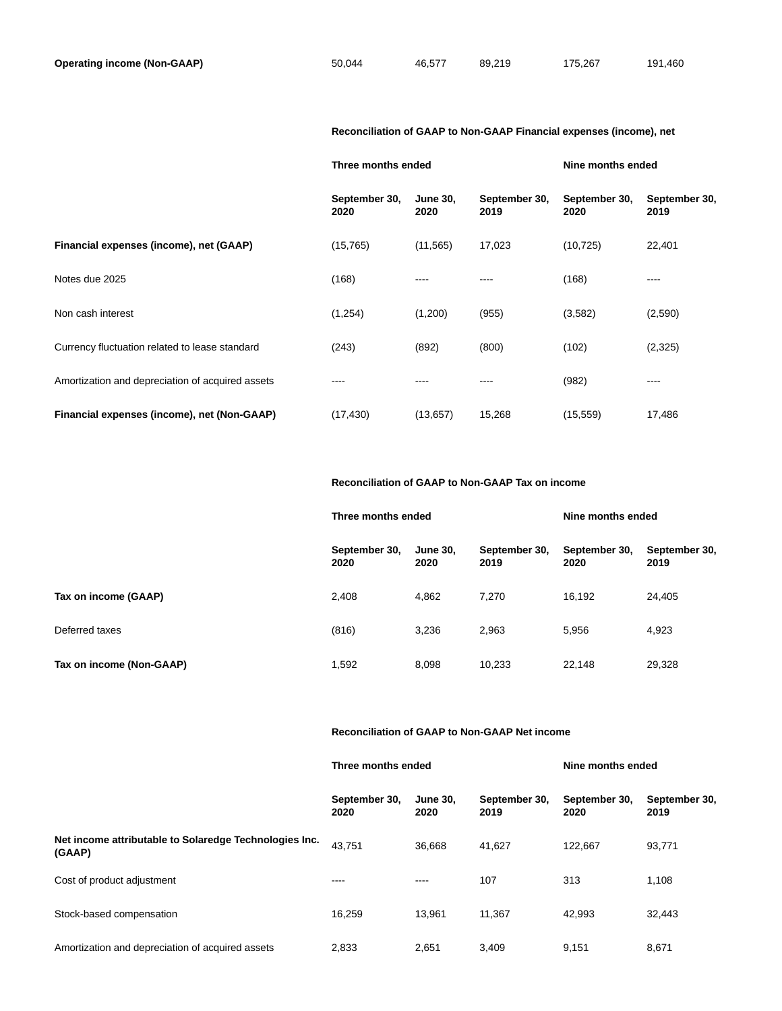## **Reconciliation of GAAP to Non-GAAP Financial expenses (income), net**

|                                                  | Three months ended    |                         |                       | Nine months ended     |                       |
|--------------------------------------------------|-----------------------|-------------------------|-----------------------|-----------------------|-----------------------|
|                                                  | September 30,<br>2020 | <b>June 30,</b><br>2020 | September 30,<br>2019 | September 30,<br>2020 | September 30,<br>2019 |
| Financial expenses (income), net (GAAP)          | (15, 765)             | (11, 565)               | 17,023                | (10, 725)             | 22,401                |
| Notes due 2025                                   | (168)                 | ----                    |                       | (168)                 | ----                  |
| Non cash interest                                | (1,254)               | (1,200)                 | (955)                 | (3,582)               | (2,590)               |
| Currency fluctuation related to lease standard   | (243)                 | (892)                   | (800)                 | (102)                 | (2,325)               |
| Amortization and depreciation of acquired assets | ----                  | ----                    |                       | (982)                 | ----                  |
| Financial expenses (income), net (Non-GAAP)      | (17, 430)             | (13, 657)               | 15,268                | (15, 559)             | 17,486                |

## **Reconciliation of GAAP to Non-GAAP Tax on income**

|                          | Three months ended    |                         |                       | Nine months ended     |                       |
|--------------------------|-----------------------|-------------------------|-----------------------|-----------------------|-----------------------|
|                          | September 30,<br>2020 | <b>June 30.</b><br>2020 | September 30,<br>2019 | September 30,<br>2020 | September 30,<br>2019 |
| Tax on income (GAAP)     | 2,408                 | 4,862                   | 7,270                 | 16,192                | 24,405                |
| Deferred taxes           | (816)                 | 3,236                   | 2,963                 | 5,956                 | 4,923                 |
| Tax on income (Non-GAAP) | 1,592                 | 8,098                   | 10,233                | 22,148                | 29,328                |

## **Reconciliation of GAAP to Non-GAAP Net income**

#### **Three months ended Nine months ended**

|                                                                  | September 30,<br>2020 | <b>June 30.</b><br>2020 | September 30,<br>2019 | September 30,<br>2020 | September 30,<br>2019 |
|------------------------------------------------------------------|-----------------------|-------------------------|-----------------------|-----------------------|-----------------------|
| Net income attributable to Solaredge Technologies Inc.<br>(GAAP) | 43.751                | 36.668                  | 41.627                | 122.667               | 93,771                |
| Cost of product adjustment                                       | ----                  | ----                    | 107                   | 313                   | 1,108                 |
| Stock-based compensation                                         | 16.259                | 13.961                  | 11.367                | 42.993                | 32,443                |
| Amortization and depreciation of acquired assets                 | 2.833                 | 2.651                   | 3.409                 | 9.151                 | 8,671                 |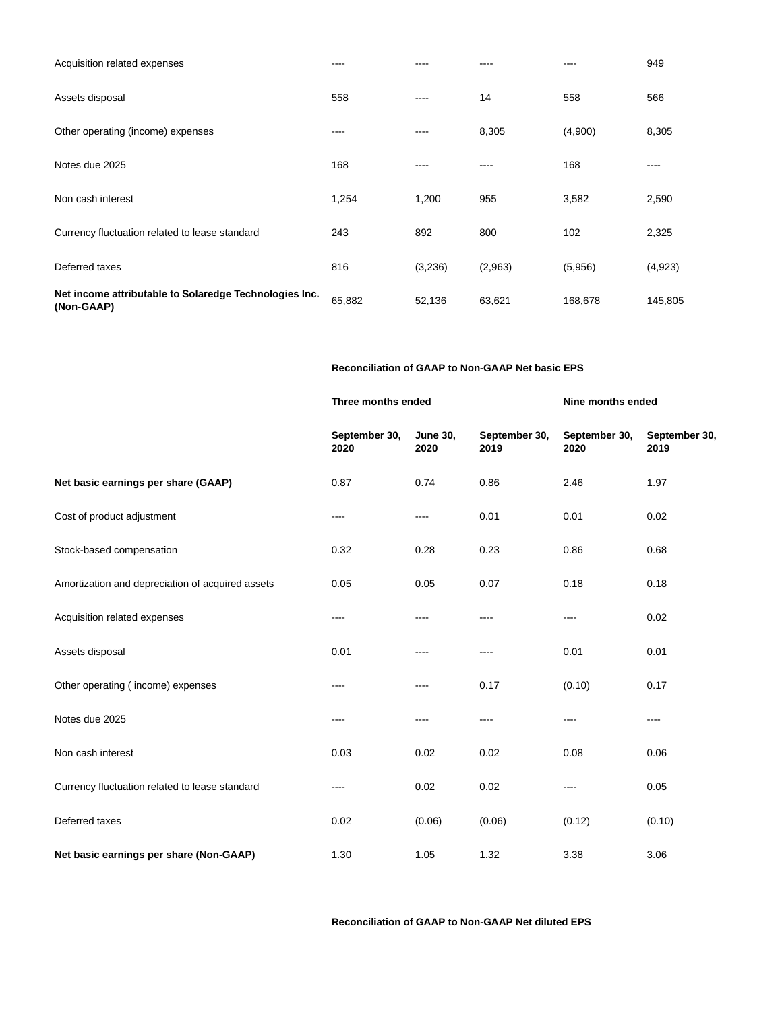| Net income attributable to Solaredge Technologies Inc.<br>(Non-GAAP) | 65,882 | 52,136  | 63,621  | 168,678 | 145,805 |
|----------------------------------------------------------------------|--------|---------|---------|---------|---------|
| Deferred taxes                                                       | 816    | (3,236) | (2,963) | (5,956) | (4,923) |
| Currency fluctuation related to lease standard                       | 243    | 892     | 800     | 102     | 2,325   |
| Non cash interest                                                    | 1,254  | 1,200   | 955     | 3,582   | 2,590   |
| Notes due 2025                                                       | 168    |         | ----    | 168     | ----    |
| Other operating (income) expenses                                    | ----   |         | 8,305   | (4,900) | 8,305   |
| Assets disposal                                                      | 558    | ----    | 14      | 558     | 566     |
| Acquisition related expenses                                         | ----   |         | ----    | ----    | 949     |

## **Reconciliation of GAAP to Non-GAAP Net basic EPS**

|                                                  | Three months ended    |                         |                       | Nine months ended     |                       |
|--------------------------------------------------|-----------------------|-------------------------|-----------------------|-----------------------|-----------------------|
|                                                  | September 30,<br>2020 | <b>June 30,</b><br>2020 | September 30,<br>2019 | September 30,<br>2020 | September 30,<br>2019 |
| Net basic earnings per share (GAAP)              | 0.87                  | 0.74                    | 0.86                  | 2.46                  | 1.97                  |
| Cost of product adjustment                       | ----                  | ----                    | 0.01                  | 0.01                  | 0.02                  |
| Stock-based compensation                         | 0.32                  | 0.28                    | 0.23                  | 0.86                  | 0.68                  |
| Amortization and depreciation of acquired assets | 0.05                  | 0.05                    | 0.07                  | 0.18                  | 0.18                  |
| Acquisition related expenses                     | ----                  | ----                    |                       | ----                  | 0.02                  |
| Assets disposal                                  | 0.01                  | ----                    | ----                  | 0.01                  | 0.01                  |
| Other operating (income) expenses                | $---$                 | $\cdots$                | 0.17                  | (0.10)                | 0.17                  |
| Notes due 2025                                   | ----                  |                         | ----                  | ----                  | ----                  |
| Non cash interest                                | 0.03                  | 0.02                    | 0.02                  | 0.08                  | 0.06                  |
| Currency fluctuation related to lease standard   | $---$                 | 0.02                    | 0.02                  | ----                  | 0.05                  |
| Deferred taxes                                   | 0.02                  | (0.06)                  | (0.06)                | (0.12)                | (0.10)                |
| Net basic earnings per share (Non-GAAP)          | 1.30                  | 1.05                    | 1.32                  | 3.38                  | 3.06                  |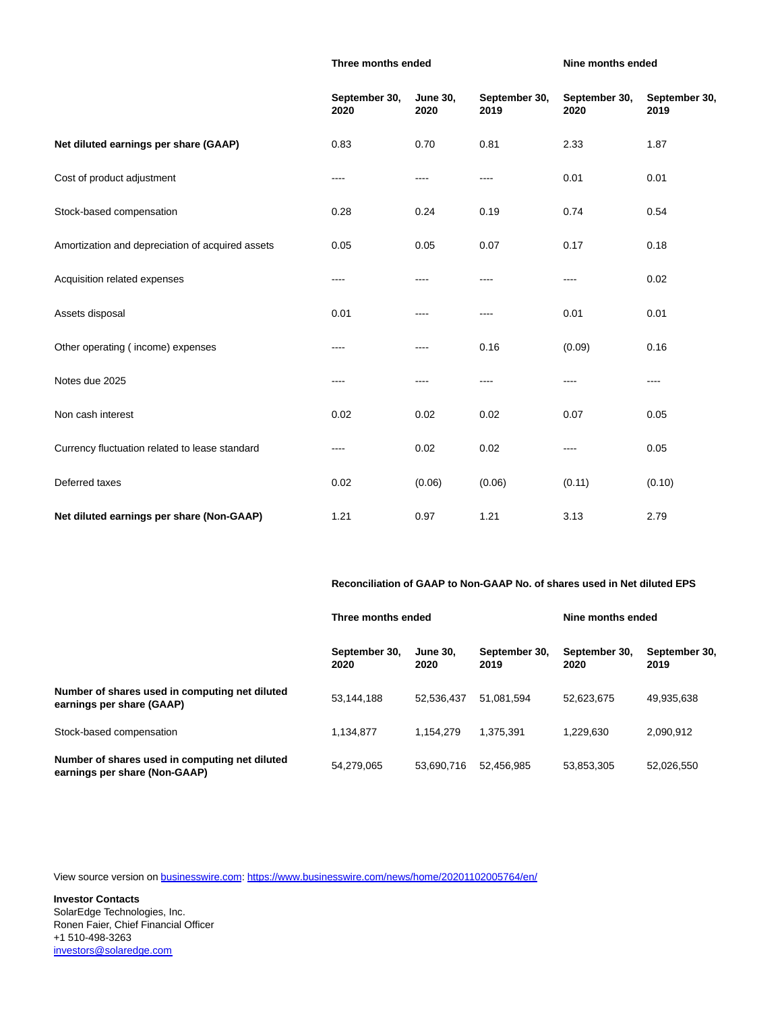#### **Three months ended Nine months ended**

|                                                  | September 30,<br>2020 | <b>June 30,</b><br>2020 | September 30,<br>2019 | September 30,<br>2020 | September 30,<br>2019 |
|--------------------------------------------------|-----------------------|-------------------------|-----------------------|-----------------------|-----------------------|
| Net diluted earnings per share (GAAP)            | 0.83                  | 0.70                    | 0.81                  | 2.33                  | 1.87                  |
| Cost of product adjustment                       | $---$                 | ----                    | $\cdots$              | 0.01                  | 0.01                  |
| Stock-based compensation                         | 0.28                  | 0.24                    | 0.19                  | 0.74                  | 0.54                  |
| Amortization and depreciation of acquired assets | 0.05                  | 0.05                    | 0.07                  | 0.17                  | 0.18                  |
| Acquisition related expenses                     | ----                  |                         |                       | ----                  | 0.02                  |
| Assets disposal                                  | 0.01                  | ----                    | ----                  | 0.01                  | 0.01                  |
| Other operating (income) expenses                | $\cdots$              | $---$                   | 0.16                  | (0.09)                | 0.16                  |
| Notes due 2025                                   | $---$                 | ----                    | ----                  | ----                  | ----                  |
| Non cash interest                                | 0.02                  | 0.02                    | 0.02                  | 0.07                  | 0.05                  |
| Currency fluctuation related to lease standard   | ----                  | 0.02                    | 0.02                  | ----                  | 0.05                  |
| Deferred taxes                                   | 0.02                  | (0.06)                  | (0.06)                | (0.11)                | (0.10)                |
| Net diluted earnings per share (Non-GAAP)        | 1.21                  | 0.97                    | 1.21                  | 3.13                  | 2.79                  |

**Reconciliation of GAAP to Non-GAAP No. of shares used in Net diluted EPS**

|                                                                                 | Three months ended    |                         |                       | Nine months ended     |                       |
|---------------------------------------------------------------------------------|-----------------------|-------------------------|-----------------------|-----------------------|-----------------------|
|                                                                                 | September 30,<br>2020 | <b>June 30.</b><br>2020 | September 30.<br>2019 | September 30,<br>2020 | September 30,<br>2019 |
| Number of shares used in computing net diluted<br>earnings per share (GAAP)     | 53.144.188            | 52.536.437              | 51.081.594            | 52.623.675            | 49,935,638            |
| Stock-based compensation                                                        | 1.134.877             | 1.154.279               | 1.375.391             | 1.229.630             | 2.090.912             |
| Number of shares used in computing net diluted<br>earnings per share (Non-GAAP) | 54,279,065            | 53.690.716              | 52,456,985            | 53,853,305            | 52,026,550            |

View source version on [businesswire.com:](http://businesswire.com/)<https://www.businesswire.com/news/home/20201102005764/en/>

**Investor Contacts** SolarEdge Technologies, Inc. Ronen Faier, Chief Financial Officer +1 510-498-3263 [investors@solaredge.com](mailto:investors@solaredge.com)